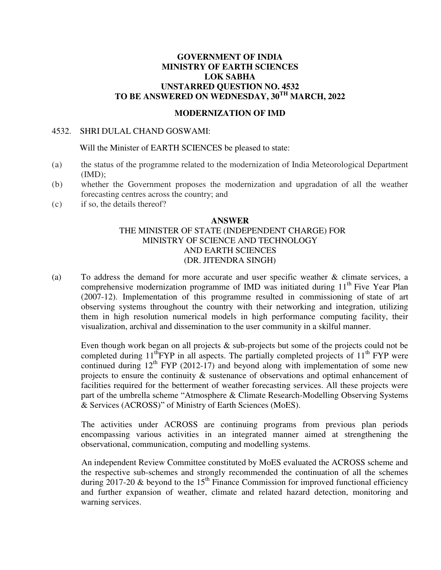#### **GOVERNMENT OF INDIA MINISTRY OF EARTH SCIENCES LOK SABHA UNSTARRED QUESTION NO. 4532 TO BE ANSWERED ON WEDNESDAY, 30TH MARCH, 2022**

#### **MODERNIZATION OF IMD**

#### 4532. SHRI DULAL CHAND GOSWAMI:

Will the Minister of EARTH SCIENCES be pleased to state:

- (a) the status of the programme related to the modernization of India Meteorological Department  $(MD);$
- (b) whether the Government proposes the modernization and upgradation of all the weather forecasting centres across the country; and
- (c) if so, the details thereof?

#### **ANSWER**

#### THE MINISTER OF STATE (INDEPENDENT CHARGE) FOR MINISTRY OF SCIENCE AND TECHNOLOGY AND EARTH SCIENCES (DR. JITENDRA SINGH)

(a) To address the demand for more accurate and user specific weather & climate services, a comprehensive modernization programme of IMD was initiated during  $11<sup>th</sup>$  Five Year Plan (2007-12). Implementation of this programme resulted in commissioning of state of art observing systems throughout the country with their networking and integration, utilizing them in high resolution numerical models in high performance computing facility, their visualization, archival and dissemination to the user community in a skilful manner.

Even though work began on all projects & sub-projects but some of the projects could not be completed during  $11^{th}$ FYP in all aspects. The partially completed projects of  $11^{th}$  FYP were continued during  $12<sup>th</sup>$  FYP (2012-17) and beyond along with implementation of some new projects to ensure the continuity & sustenance of observations and optimal enhancement of facilities required for the betterment of weather forecasting services. All these projects were part of the umbrella scheme "Atmosphere & Climate Research-Modelling Observing Systems & Services (ACROSS)" of Ministry of Earth Sciences (MoES).

The activities under ACROSS are continuing programs from previous plan periods encompassing various activities in an integrated manner aimed at strengthening the observational, communication, computing and modelling systems.

An independent Review Committee constituted by MoES evaluated the ACROSS scheme and the respective sub-schemes and strongly recommended the continuation of all the schemes during 2017-20  $\&$  beyond to the 15<sup>th</sup> Finance Commission for improved functional efficiency and further expansion of weather, climate and related hazard detection, monitoring and warning services.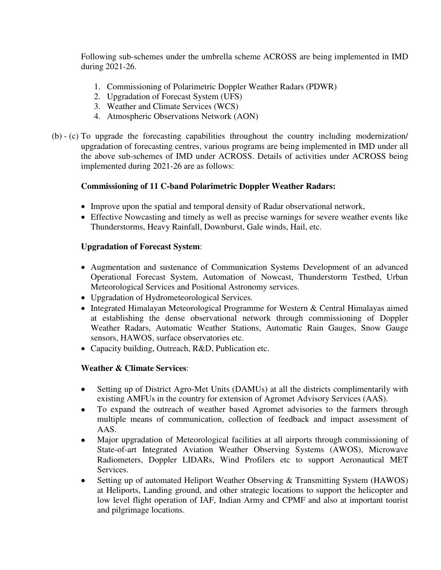Following sub-schemes under the umbrella scheme ACROSS are being implemented in IMD during 2021-26.

- 1. Commissioning of Polarimetric Doppler Weather Radars (PDWR)
- 2. Upgradation of Forecast System (UFS)
- 3. Weather and Climate Services (WCS)
- 4. Atmospheric Observations Network (AON)
- (b) (c) To upgrade the forecasting capabilities throughout the country including modernization/ upgradation of forecasting centres, various programs are being implemented in IMD under all the above sub-schemes of IMD under ACROSS. Details of activities under ACROSS being implemented during 2021-26 are as follows:

# **Commissioning of 11 C-band Polarimetric Doppler Weather Radars:**

- Improve upon the spatial and temporal density of Radar observational network,
- Effective Nowcasting and timely as well as precise warnings for severe weather events like Thunderstorms, Heavy Rainfall, Downburst, Gale winds, Hail, etc.

## **Upgradation of Forecast System**:

- Augmentation and sustenance of Communication Systems Development of an advanced Operational Forecast System, Automation of Nowcast, Thunderstorm Testbed, Urban Meteorological Services and Positional Astronomy services.
- Upgradation of Hydrometeorological Services.
- Integrated Himalayan Meteorological Programme for Western & Central Himalayas aimed at establishing the dense observational network through commissioning of Doppler Weather Radars, Automatic Weather Stations, Automatic Rain Gauges, Snow Gauge sensors, HAWOS, surface observatories etc.
- Capacity building, Outreach, R&D, Publication etc.

## **Weather & Climate Services**:

- Setting up of District Agro-Met Units (DAMUs) at all the districts complimentarily with existing AMFUs in the country for extension of Agromet Advisory Services (AAS).
- To expand the outreach of weather based Agromet advisories to the farmers through multiple means of communication, collection of feedback and impact assessment of AAS.
- Major upgradation of Meteorological facilities at all airports through commissioning of State-of-art Integrated Aviation Weather Observing Systems (AWOS), Microwave Radiometers, Doppler LIDARs, Wind Profilers etc to support Aeronautical MET Services.
- Setting up of automated Heliport Weather Observing & Transmitting System (HAWOS) at Heliports, Landing ground, and other strategic locations to support the helicopter and low level flight operation of IAF, Indian Army and CPMF and also at important tourist and pilgrimage locations.